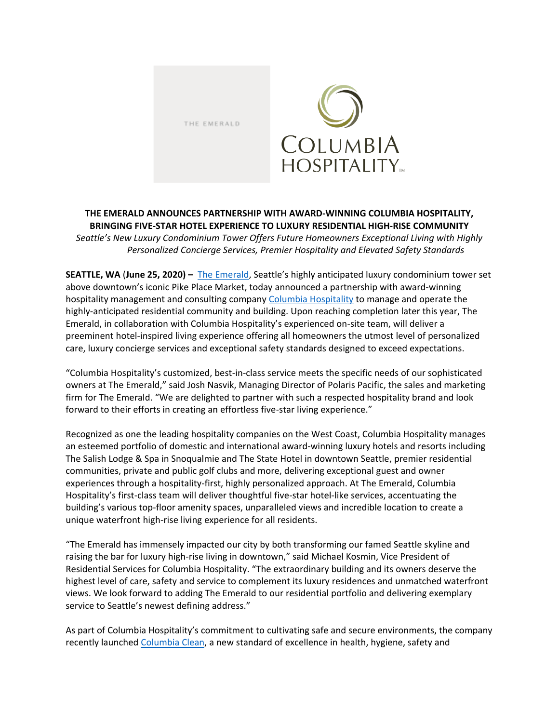THE EMERALD



## **THE EMERALD ANNOUNCES PARTNERSHIP WITH AWARD-WINNING COLUMBIA HOSPITALITY, BRINGING FIVE-STAR HOTEL EXPERIENCE TO LUXURY RESIDENTIAL HIGH-RISE COMMUNITY** *Seattle's New Luxury Condominium Tower Offers Future Homeowners Exceptional Living with Highly Personalized Concierge Services, Premier Hospitality and Elevated Safety Standards*

**SEATTLE, WA** (**June 25, 2020) –** [The Emerald](http://theemeraldseattle.com/), Seattle's highly anticipated luxury condominium tower set above downtown's iconic Pike Place Market, today announced a partnership with award-winning hospitality management and consulting compan[y Columbia Hospitality](https://www.columbiahospitality.com/) to manage and operate the highly-anticipated residential community and building. Upon reaching completion later this year, The Emerald, in collaboration with Columbia Hospitality's experienced on-site team, will deliver a preeminent hotel-inspired living experience offering all homeowners the utmost level of personalized care, luxury concierge services and exceptional safety standards designed to exceed expectations.

"Columbia Hospitality's customized, best-in-class service meets the specific needs of our sophisticated owners at The Emerald," said Josh Nasvik, Managing Director of Polaris Pacific, the sales and marketing firm for The Emerald. "We are delighted to partner with such a respected hospitality brand and look forward to their efforts in creating an effortless five-star living experience."

Recognized as one the leading hospitality companies on the West Coast, Columbia Hospitality manages an esteemed portfolio of domestic and international award-winning luxury hotels and resorts including The Salish Lodge & Spa in Snoqualmie and The State Hotel in downtown Seattle, premier residential communities, private and public golf clubs and more, delivering exceptional guest and owner experiences through a hospitality-first, highly personalized approach. At The Emerald, Columbia Hospitality's first-class team will deliver thoughtful five-star hotel-like services, accentuating the building's various top-floor amenity spaces, unparalleled views and incredible location to create a unique waterfront high-rise living experience for all residents.

"The Emerald has immensely impacted our city by both transforming our famed Seattle skyline and raising the bar for luxury high-rise living in downtown," said Michael Kosmin, Vice President of Residential Services for Columbia Hospitality. "The extraordinary building and its owners deserve the highest level of care, safety and service to complement its luxury residences and unmatched waterfront views. We look forward to adding The Emerald to our residential portfolio and delivering exemplary service to Seattle's newest defining address."

As part of Columbia Hospitality's commitment to cultivating safe and secure environments, the company recently launched [Columbia Clean,](https://www.columbiaclean.com/) a new standard of excellence in health, hygiene, safety and